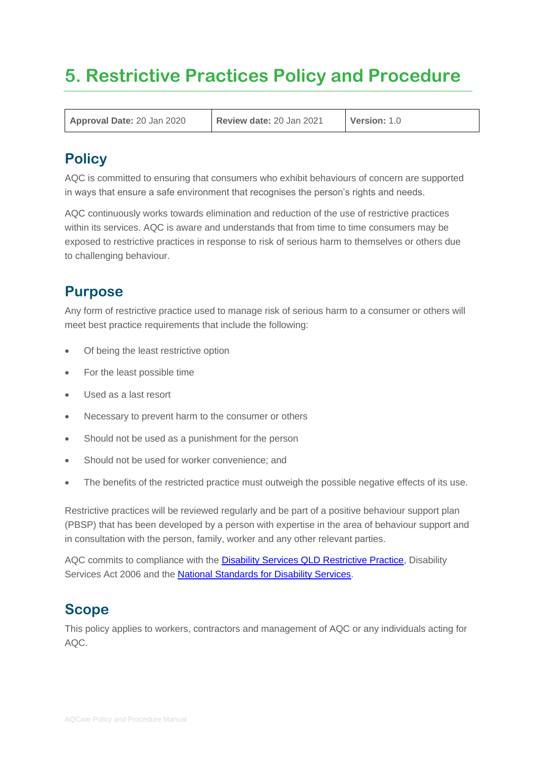# **5. Restrictive Practices Policy and Procedure**

**Approval Date:** 20 Jan 2020 **Review date:** 20 Jan 2021 **Version:** 1.0

# **Policy**

AQC is committed to ensuring that consumers who exhibit behaviours of concern are supported in ways that ensure a safe environment that recognises the person's rights and needs.

AQC continuously works towards elimination and reduction of the use of restrictive practices within its services. AQC is aware and understands that from time to time consumers may be exposed to restrictive practices in response to risk of serious harm to themselves or others due to challenging behaviour.

# **Purpose**

Any form of restrictive practice used to manage risk of serious harm to a consumer or others will meet best practice requirements that include the following:

- Of being the least restrictive option
- For the least possible time
- Used as a last resort
- Necessary to prevent harm to the consumer or others
- Should not be used as a punishment for the person
- Should not be used for worker convenience; and
- The benefits of the restricted practice must outweigh the possible negative effects of its use.

Restrictive practices will be reviewed regularly and be part of a positive behaviour support plan (PBSP) that has been developed by a person with expertise in the area of behaviour support and in consultation with the person, family, worker and any other relevant parties.

AQC commits to compliance with the [Disability Services QLD Restrictive Practice,](https://www.communities.qld.gov.au/disability-connect-queensland/national-disability-insurance-scheme/ndis-quality-safeguard-requirements-providers#:~:text=Restrictive%20Practices%20in%20Queensland%20include,cognitive%20disability%20receiving%20NDIS%20services.) Disability Services Act 2006 and the **National Standards for Disability Services**.

### **Scope**

This policy applies to workers, contractors and management of AQC or any individuals acting for AQC.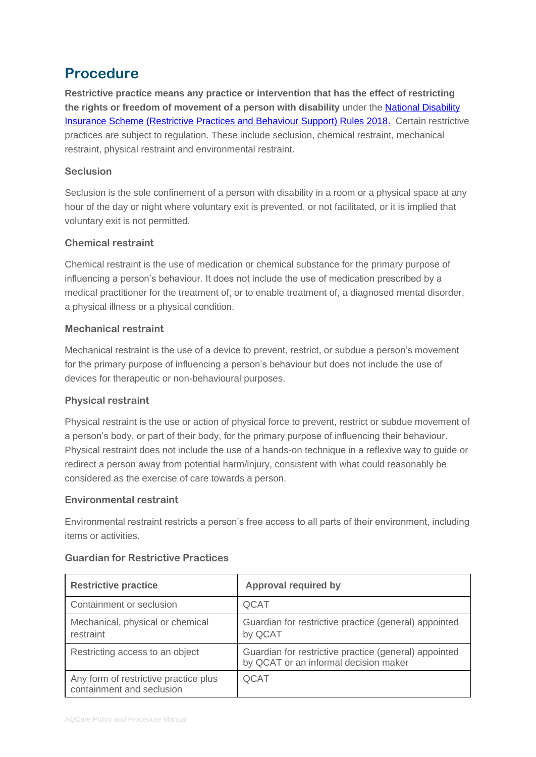# **Procedure**

**Restrictive practice means any practice or intervention that has the effect of restricting the rights or freedom of movement of a person with disability** under the [National Disability](https://www.legislation.gov.au/Details/F2018L00632)  [Insurance Scheme \(Restrictive Practices and Behaviour Support\) Rules 2018.](https://www.legislation.gov.au/Details/F2018L00632) Certain restrictive practices are subject to regulation. These include seclusion, chemical restraint, mechanical restraint, physical restraint and environmental restraint.

#### **Seclusion**

Seclusion is the sole confinement of a person with disability in a room or a physical space at any hour of the day or night where voluntary exit is prevented, or not facilitated, or it is implied that voluntary exit is not permitted.

#### **Chemical restraint**

Chemical restraint is the use of medication or chemical substance for the primary purpose of influencing a person's behaviour. It does not include the use of medication prescribed by a medical practitioner for the treatment of, or to enable treatment of, a diagnosed mental disorder, a physical illness or a physical condition.

#### **Mechanical restraint**

Mechanical restraint is the use of a device to prevent, restrict, or subdue a person's movement for the primary purpose of influencing a person's behaviour but does not include the use of devices for therapeutic or non-behavioural purposes.

#### **Physical restraint**

Physical restraint is the use or action of physical force to prevent, restrict or subdue movement of a person's body, or part of their body, for the primary purpose of influencing their behaviour. Physical restraint does not include the use of a hands-on technique in a reflexive way to guide or redirect a person away from potential harm/injury, consistent with what could reasonably be considered as the exercise of care towards a person.

#### **Environmental restraint**

Environmental restraint restricts a person's free access to all parts of their environment, including items or activities.

| <b>Restrictive practice</b>                                        | <b>Approval required by</b>                                                                    |
|--------------------------------------------------------------------|------------------------------------------------------------------------------------------------|
| Containment or seclusion                                           | QCAT                                                                                           |
| Mechanical, physical or chemical<br>restraint                      | Guardian for restrictive practice (general) appointed<br>by QCAT                               |
| Restricting access to an object                                    | Guardian for restrictive practice (general) appointed<br>by QCAT or an informal decision maker |
| Any form of restrictive practice plus<br>containment and seclusion | QCAT                                                                                           |

#### **Guardian for Restrictive Practices**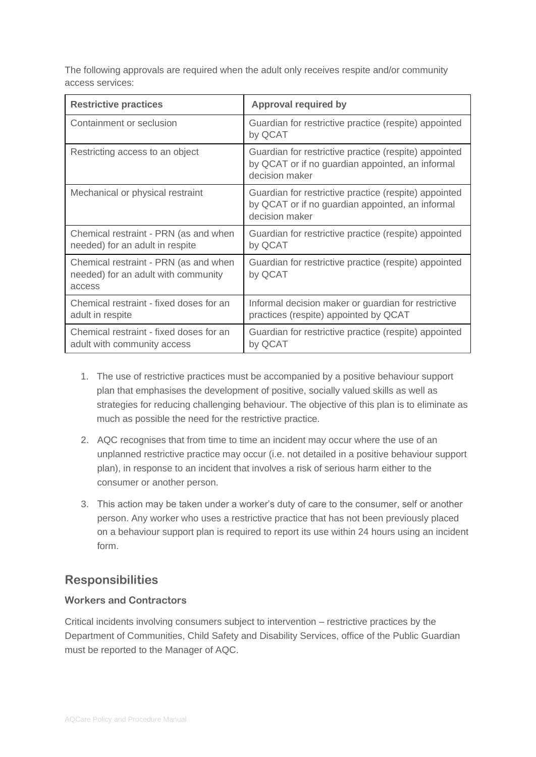The following approvals are required when the adult only receives respite and/or community access services:

| <b>Restrictive practices</b>                                                           | <b>Approval required by</b>                                                                                                 |
|----------------------------------------------------------------------------------------|-----------------------------------------------------------------------------------------------------------------------------|
| Containment or seclusion                                                               | Guardian for restrictive practice (respite) appointed<br>by QCAT                                                            |
| Restricting access to an object                                                        | Guardian for restrictive practice (respite) appointed<br>by QCAT or if no guardian appointed, an informal<br>decision maker |
| Mechanical or physical restraint                                                       | Guardian for restrictive practice (respite) appointed<br>by QCAT or if no guardian appointed, an informal<br>decision maker |
| Chemical restraint - PRN (as and when<br>needed) for an adult in respite               | Guardian for restrictive practice (respite) appointed<br>by QCAT                                                            |
| Chemical restraint - PRN (as and when<br>needed) for an adult with community<br>access | Guardian for restrictive practice (respite) appointed<br>by QCAT                                                            |
| Chemical restraint - fixed doses for an<br>adult in respite                            | Informal decision maker or guardian for restrictive<br>practices (respite) appointed by QCAT                                |
| Chemical restraint - fixed doses for an<br>adult with community access                 | Guardian for restrictive practice (respite) appointed<br>by QCAT                                                            |

- 1. The use of restrictive practices must be accompanied by a positive behaviour support plan that emphasises the development of positive, socially valued skills as well as strategies for reducing challenging behaviour. The objective of this plan is to eliminate as much as possible the need for the restrictive practice.
- 2. AQC recognises that from time to time an incident may occur where the use of an unplanned restrictive practice may occur (i.e. not detailed in a positive behaviour support plan), in response to an incident that involves a risk of serious harm either to the consumer or another person.
- 3. This action may be taken under a worker's duty of care to the consumer, self or another person. Any worker who uses a restrictive practice that has not been previously placed on a behaviour support plan is required to report its use within 24 hours using an incident form.

### **Responsibilities**

#### **Workers and Contractors**

Critical incidents involving consumers subject to intervention – restrictive practices by the Department of Communities, Child Safety and Disability Services, office of the Public Guardian must be reported to the Manager of AQC.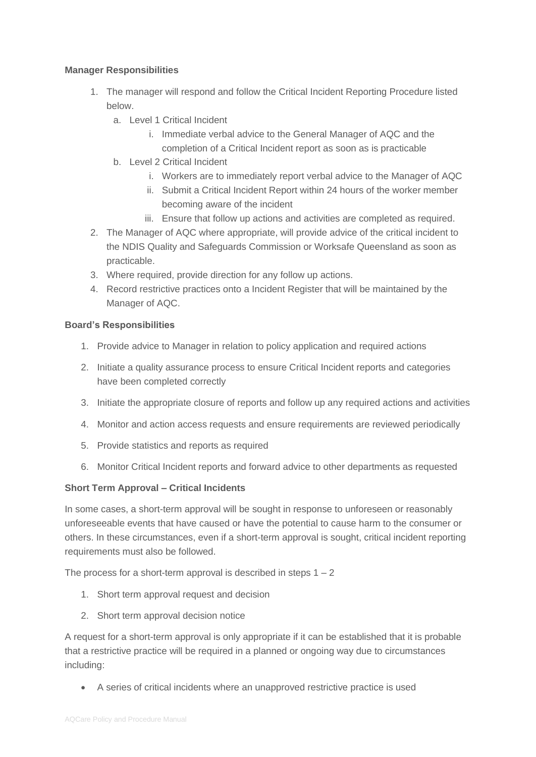#### **Manager Responsibilities**

- 1. The manager will respond and follow the Critical Incident Reporting Procedure listed below.
	- a. Level 1 Critical Incident
		- i. Immediate verbal advice to the General Manager of AQC and the completion of a Critical Incident report as soon as is practicable
	- b. Level 2 Critical Incident
		- i. Workers are to immediately report verbal advice to the Manager of AQC
		- ii. Submit a Critical Incident Report within 24 hours of the worker member becoming aware of the incident
		- iii. Ensure that follow up actions and activities are completed as required.
- 2. The Manager of AQC where appropriate, will provide advice of the critical incident to the NDIS Quality and Safeguards Commission or Worksafe Queensland as soon as practicable.
- 3. Where required, provide direction for any follow up actions.
- 4. Record restrictive practices onto a Incident Register that will be maintained by the Manager of AQC.

#### **Board's Responsibilities**

- 1. Provide advice to Manager in relation to policy application and required actions
- 2. Initiate a quality assurance process to ensure Critical Incident reports and categories have been completed correctly
- 3. Initiate the appropriate closure of reports and follow up any required actions and activities
- 4. Monitor and action access requests and ensure requirements are reviewed periodically
- 5. Provide statistics and reports as required
- 6. Monitor Critical Incident reports and forward advice to other departments as requested

#### **Short Term Approval – Critical Incidents**

In some cases, a short-term approval will be sought in response to unforeseen or reasonably unforeseeable events that have caused or have the potential to cause harm to the consumer or others. In these circumstances, even if a short-term approval is sought, critical incident reporting requirements must also be followed.

The process for a short-term approval is described in steps  $1 - 2$ 

- 1. Short term approval request and decision
- 2. Short term approval decision notice

A request for a short-term approval is only appropriate if it can be established that it is probable that a restrictive practice will be required in a planned or ongoing way due to circumstances including:

• A series of critical incidents where an unapproved restrictive practice is used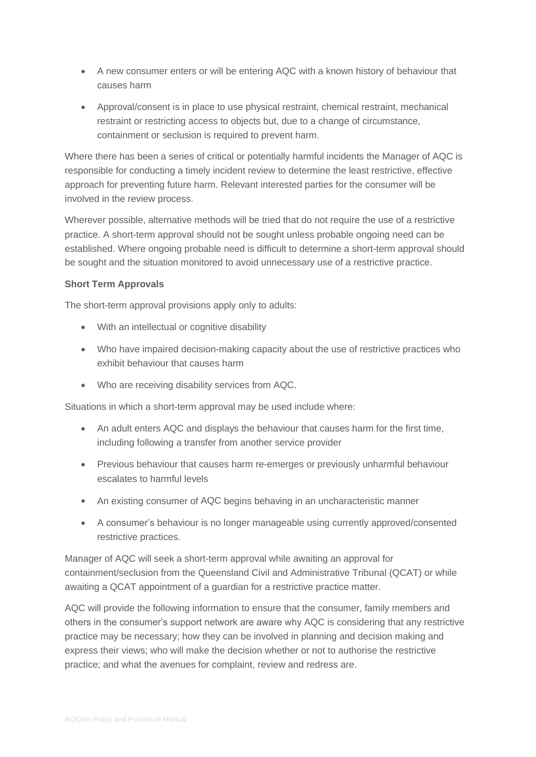- A new consumer enters or will be entering AQC with a known history of behaviour that causes harm
- Approval/consent is in place to use physical restraint, chemical restraint, mechanical restraint or restricting access to objects but, due to a change of circumstance, containment or seclusion is required to prevent harm.

Where there has been a series of critical or potentially harmful incidents the Manager of AQC is responsible for conducting a timely incident review to determine the least restrictive, effective approach for preventing future harm. Relevant interested parties for the consumer will be involved in the review process.

Wherever possible, alternative methods will be tried that do not require the use of a restrictive practice. A short-term approval should not be sought unless probable ongoing need can be established. Where ongoing probable need is difficult to determine a short-term approval should be sought and the situation monitored to avoid unnecessary use of a restrictive practice.

#### **Short Term Approvals**

The short-term approval provisions apply only to adults:

- With an intellectual or cognitive disability
- Who have impaired decision-making capacity about the use of restrictive practices who exhibit behaviour that causes harm
- Who are receiving disability services from AQC.

Situations in which a short-term approval may be used include where:

- An adult enters AQC and displays the behaviour that causes harm for the first time, including following a transfer from another service provider
- Previous behaviour that causes harm re-emerges or previously unharmful behaviour escalates to harmful levels
- An existing consumer of AQC begins behaving in an uncharacteristic manner
- A consumer's behaviour is no longer manageable using currently approved/consented restrictive practices.

Manager of AQC will seek a short-term approval while awaiting an approval for containment/seclusion from the Queensland Civil and Administrative Tribunal (QCAT) or while awaiting a QCAT appointment of a guardian for a restrictive practice matter.

AQC will provide the following information to ensure that the consumer, family members and others in the consumer's support network are aware why AQC is considering that any restrictive practice may be necessary; how they can be involved in planning and decision making and express their views; who will make the decision whether or not to authorise the restrictive practice; and what the avenues for complaint, review and redress are.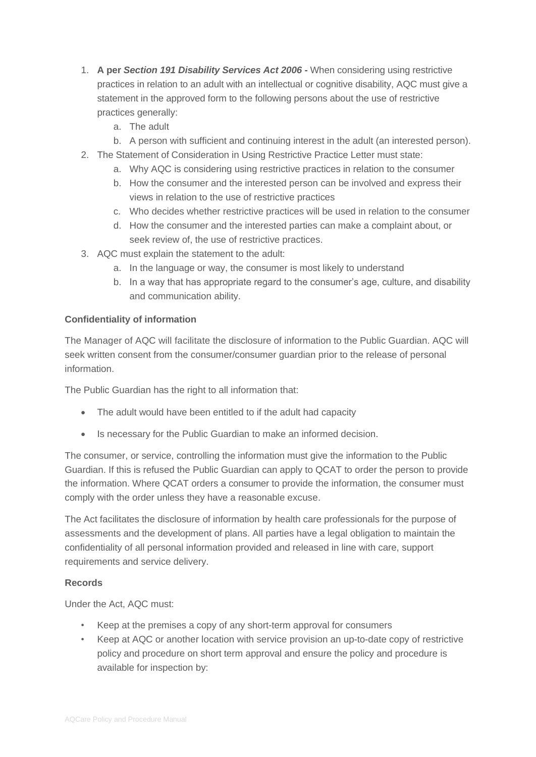- 1. **A per** *Section 191 Disability Services Act 2006* **-** When considering using restrictive practices in relation to an adult with an intellectual or cognitive disability, AQC must give a statement in the approved form to the following persons about the use of restrictive practices generally:
	- a. The adult
	- b. A person with sufficient and continuing interest in the adult (an interested person).
- 2. The Statement of Consideration in Using Restrictive Practice Letter must state:
	- a. Why AQC is considering using restrictive practices in relation to the consumer
	- b. How the consumer and the interested person can be involved and express their views in relation to the use of restrictive practices
	- c. Who decides whether restrictive practices will be used in relation to the consumer
	- d. How the consumer and the interested parties can make a complaint about, or seek review of, the use of restrictive practices.
- 3. AQC must explain the statement to the adult:
	- a. In the language or way, the consumer is most likely to understand
	- b. In a way that has appropriate regard to the consumer's age, culture, and disability and communication ability.

#### **Confidentiality of information**

The Manager of AQC will facilitate the disclosure of information to the Public Guardian. AQC will seek written consent from the consumer/consumer guardian prior to the release of personal information.

The Public Guardian has the right to all information that:

- The adult would have been entitled to if the adult had capacity
- Is necessary for the Public Guardian to make an informed decision.

The consumer, or service, controlling the information must give the information to the Public Guardian. If this is refused the Public Guardian can apply to QCAT to order the person to provide the information. Where QCAT orders a consumer to provide the information, the consumer must comply with the order unless they have a reasonable excuse.

The Act facilitates the disclosure of information by health care professionals for the purpose of assessments and the development of plans. All parties have a legal obligation to maintain the confidentiality of all personal information provided and released in line with care, support requirements and service delivery.

#### **Records**

Under the Act, AQC must:

- Keep at the premises a copy of any short-term approval for consumers
- Keep at AQC or another location with service provision an up-to-date copy of restrictive policy and procedure on short term approval and ensure the policy and procedure is available for inspection by: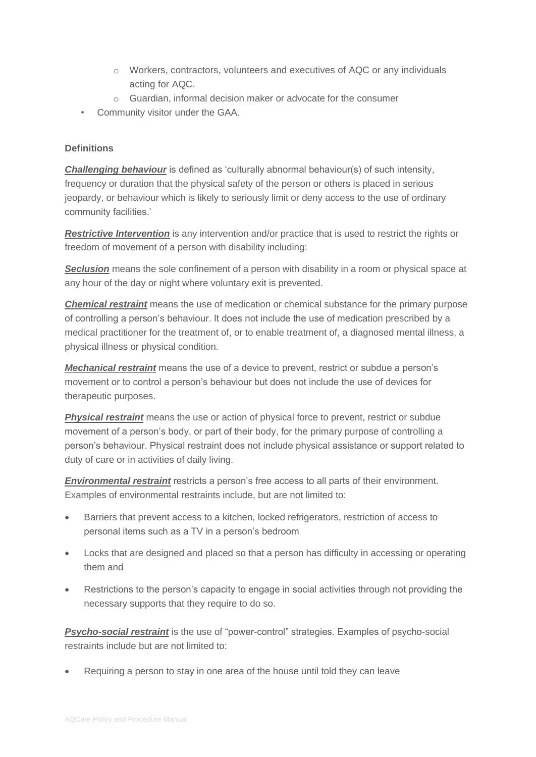- $\circ$  Workers, contractors, volunteers and executives of AQC or any individuals acting for AQC.
- o Guardian, informal decision maker or advocate for the consumer
- Community visitor under the GAA.

#### **Definitions**

*Challenging behaviour* is defined as 'culturally abnormal behaviour(s) of such intensity, frequency or duration that the physical safety of the person or others is placed in serious jeopardy, or behaviour which is likely to seriously limit or deny access to the use of ordinary community facilities.'

*Restrictive Intervention* is any intervention and/or practice that is used to restrict the rights or freedom of movement of a person with disability including:

**Seclusion** means the sole confinement of a person with disability in a room or physical space at any hour of the day or night where voluntary exit is prevented.

*Chemical restraint* means the use of medication or chemical substance for the primary purpose of controlling a person's behaviour. It does not include the use of medication prescribed by a medical practitioner for the treatment of, or to enable treatment of, a diagnosed mental illness, a physical illness or physical condition.

*Mechanical restraint* means the use of a device to prevent, restrict or subdue a person's movement or to control a person's behaviour but does not include the use of devices for therapeutic purposes.

*Physical restraint* means the use or action of physical force to prevent, restrict or subdue movement of a person's body, or part of their body, for the primary purpose of controlling a person's behaviour. Physical restraint does not include physical assistance or support related to duty of care or in activities of daily living.

*Environmental restraint* restricts a person's free access to all parts of their environment. Examples of environmental restraints include, but are not limited to:

- Barriers that prevent access to a kitchen, locked refrigerators, restriction of access to personal items such as a TV in a person's bedroom
- Locks that are designed and placed so that a person has difficulty in accessing or operating them and
- Restrictions to the person's capacity to engage in social activities through not providing the necessary supports that they require to do so.

**Psycho-social restraint** is the use of "power-control" strategies. Examples of psycho-social restraints include but are not limited to:

• Requiring a person to stay in one area of the house until told they can leave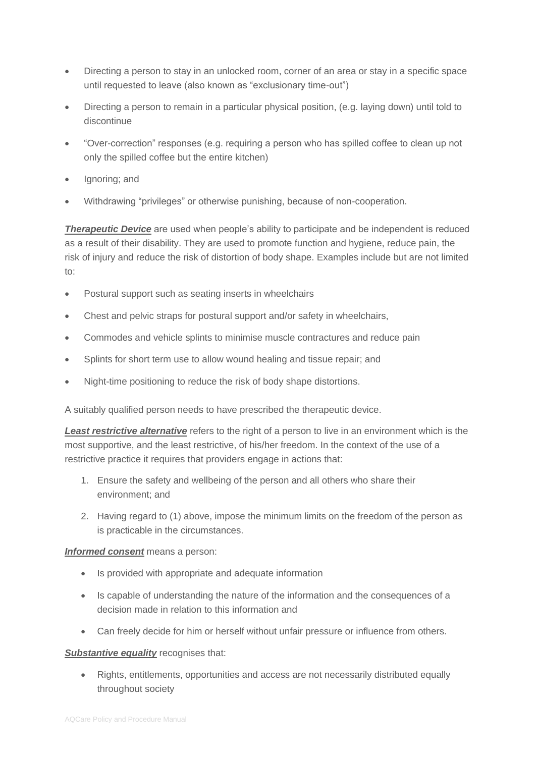- Directing a person to stay in an unlocked room, corner of an area or stay in a specific space until requested to leave (also known as "exclusionary time-out")
- Directing a person to remain in a particular physical position, (e.g. laying down) until told to discontinue
- "Over-correction" responses (e.g. requiring a person who has spilled coffee to clean up not only the spilled coffee but the entire kitchen)
- Ignoring; and
- Withdrawing "privileges" or otherwise punishing, because of non-cooperation.

**Therapeutic Device** are used when people's ability to participate and be independent is reduced as a result of their disability. They are used to promote function and hygiene, reduce pain, the risk of injury and reduce the risk of distortion of body shape. Examples include but are not limited to:

- Postural support such as seating inserts in wheelchairs
- Chest and pelvic straps for postural support and/or safety in wheelchairs,
- Commodes and vehicle splints to minimise muscle contractures and reduce pain
- Splints for short term use to allow wound healing and tissue repair; and
- Night-time positioning to reduce the risk of body shape distortions.

A suitably qualified person needs to have prescribed the therapeutic device.

*Least restrictive alternative* refers to the right of a person to live in an environment which is the most supportive, and the least restrictive, of his/her freedom. In the context of the use of a restrictive practice it requires that providers engage in actions that:

- 1. Ensure the safety and wellbeing of the person and all others who share their environment; and
- 2. Having regard to (1) above, impose the minimum limits on the freedom of the person as is practicable in the circumstances.

#### *Informed consent* means a person:

- Is provided with appropriate and adequate information
- Is capable of understanding the nature of the information and the consequences of a decision made in relation to this information and
- Can freely decide for him or herself without unfair pressure or influence from others.

#### **Substantive equality** recognises that:

• Rights, entitlements, opportunities and access are not necessarily distributed equally throughout society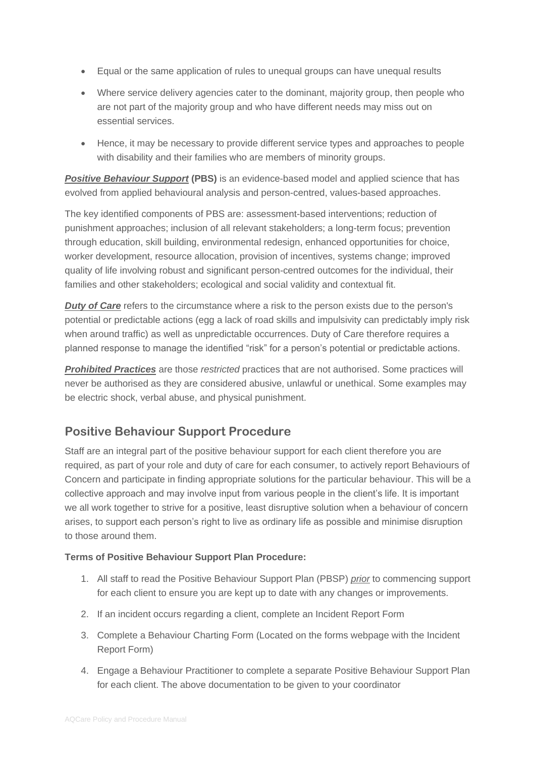- Equal or the same application of rules to unequal groups can have unequal results
- Where service delivery agencies cater to the dominant, majority group, then people who are not part of the majority group and who have different needs may miss out on essential services.
- Hence, it may be necessary to provide different service types and approaches to people with disability and their families who are members of minority groups.

**Positive Behaviour Support (PBS)** is an evidence-based model and applied science that has evolved from applied behavioural analysis and person-centred, values-based approaches.

The key identified components of PBS are: assessment-based interventions; reduction of punishment approaches; inclusion of all relevant stakeholders; a long-term focus; prevention through education, skill building, environmental redesign, enhanced opportunities for choice, worker development, resource allocation, provision of incentives, systems change; improved quality of life involving robust and significant person-centred outcomes for the individual, their families and other stakeholders; ecological and social validity and contextual fit.

**Duty of Care** refers to the circumstance where a risk to the person exists due to the person's potential or predictable actions (egg a lack of road skills and impulsivity can predictably imply risk when around traffic) as well as unpredictable occurrences. Duty of Care therefore requires a planned response to manage the identified "risk" for a person's potential or predictable actions.

*Prohibited Practices* are those *restricted* practices that are not authorised. Some practices will never be authorised as they are considered abusive, unlawful or unethical. Some examples may be electric shock, verbal abuse, and physical punishment.

### **Positive Behaviour Support Procedure**

Staff are an integral part of the positive behaviour support for each client therefore you are required, as part of your role and duty of care for each consumer, to actively report Behaviours of Concern and participate in finding appropriate solutions for the particular behaviour. This will be a collective approach and may involve input from various people in the client's life. It is important we all work together to strive for a positive, least disruptive solution when a behaviour of concern arises, to support each person's right to live as ordinary life as possible and minimise disruption to those around them.

#### **Terms of Positive Behaviour Support Plan Procedure:**

- 1. All staff to read the Positive Behaviour Support Plan (PBSP) *prior* to commencing support for each client to ensure you are kept up to date with any changes or improvements.
- 2. If an incident occurs regarding a client, complete an Incident Report Form
- 3. Complete a Behaviour Charting Form (Located on the forms webpage with the Incident Report Form)
- 4. Engage a Behaviour Practitioner to complete a separate Positive Behaviour Support Plan for each client. The above documentation to be given to your coordinator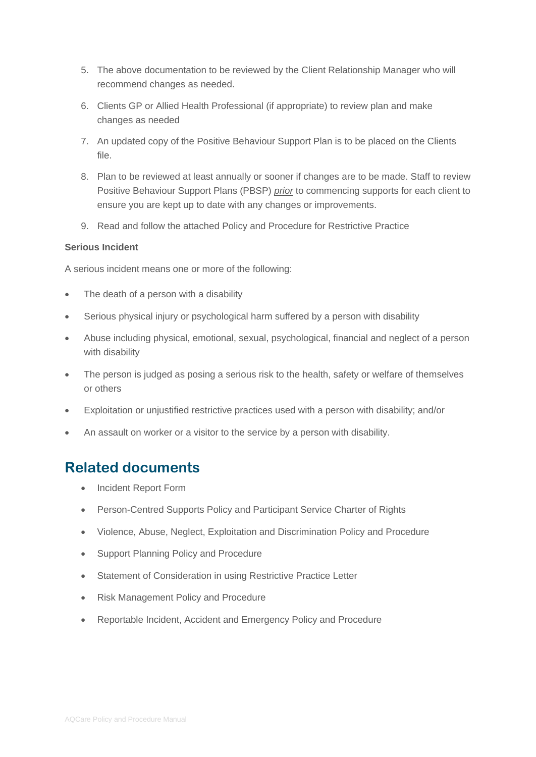- 5. The above documentation to be reviewed by the Client Relationship Manager who will recommend changes as needed.
- 6. Clients GP or Allied Health Professional (if appropriate) to review plan and make changes as needed
- 7. An updated copy of the Positive Behaviour Support Plan is to be placed on the Clients file.
- 8. Plan to be reviewed at least annually or sooner if changes are to be made. Staff to review Positive Behaviour Support Plans (PBSP) *prior* to commencing supports for each client to ensure you are kept up to date with any changes or improvements.
- 9. Read and follow the attached Policy and Procedure for Restrictive Practice

#### **Serious Incident**

A serious incident means one or more of the following:

- The death of a person with a disability
- Serious physical injury or psychological harm suffered by a person with disability
- Abuse including physical, emotional, sexual, psychological, financial and neglect of a person with disability
- The person is judged as posing a serious risk to the health, safety or welfare of themselves or others
- Exploitation or unjustified restrictive practices used with a person with disability; and/or
- An assault on worker or a visitor to the service by a person with disability.

### **Related documents**

- Incident Report Form
- Person-Centred Supports Policy and Participant Service Charter of Rights
- Violence, Abuse, Neglect, Exploitation and Discrimination Policy and Procedure
- Support Planning Policy and Procedure
- Statement of Consideration in using Restrictive Practice Letter
- Risk Management Policy and Procedure
- Reportable Incident, Accident and Emergency Policy and Procedure